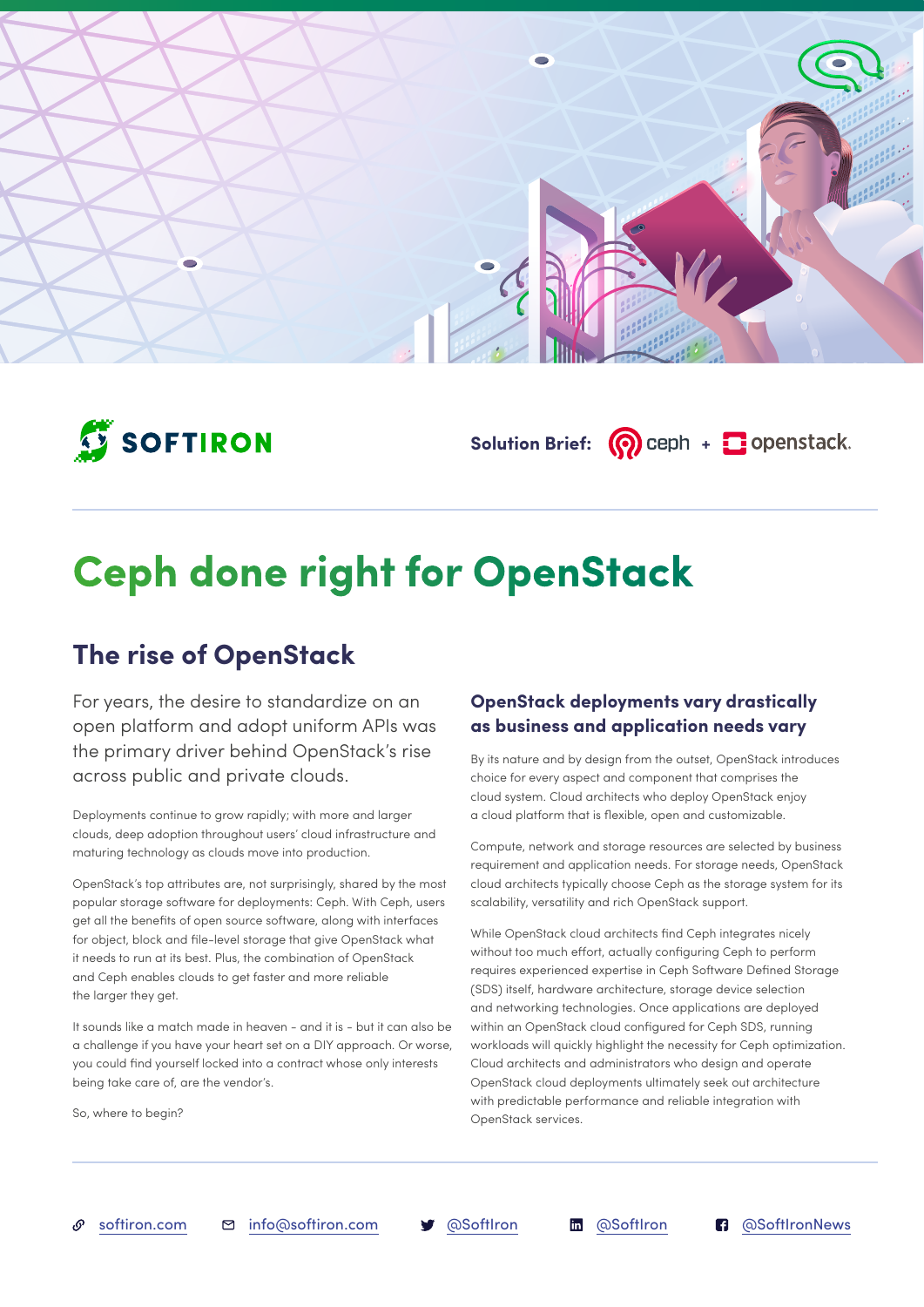



Solution Brief: **(?)** ceph + **+** openstack.

# **Ceph done right for OpenStack**

# **The rise of OpenStack**

For years, the desire to standardize on an open platform and adopt uniform APIs was the primary driver behind OpenStack's rise across public and private clouds.

Deployments continue to grow rapidly; with more and larger clouds, deep adoption throughout users' cloud infrastructure and maturing technology as clouds move into production.

OpenStack's top attributes are, not surprisingly, shared by the most popular storage software for deployments: Ceph. With Ceph, users get all the benefits of open source software, along with interfaces for object, block and file-level storage that give OpenStack what it needs to run at its best. Plus, the combination of OpenStack and Ceph enables clouds to get faster and more reliable the larger they get.

It sounds like a match made in heaven - and it is - but it can also be a challenge if you have your heart set on a DIY approach. Or worse, you could find yourself locked into a contract whose only interests being take care of, are the vendor's.

So, where to begin?

### **OpenStack deployments vary drastically as business and application needs vary**

By its nature and by design from the outset, OpenStack introduces choice for every aspect and component that comprises the cloud system. Cloud architects who deploy OpenStack enjoy a cloud platform that is flexible, open and customizable.

Compute, network and storage resources are selected by business requirement and application needs. For storage needs, OpenStack cloud architects typically choose Ceph as the storage system for its scalability, versatility and rich OpenStack support.

While OpenStack cloud architects find Ceph integrates nicely without too much effort, actually configuring Ceph to perform requires experienced expertise in Ceph Software Defined Storage (SDS) itself, hardware architecture, storage device selection and networking technologies. Once applications are deployed within an OpenStack cloud configured for Ceph SDS, running workloads will quickly highlight the necessity for Ceph optimization. Cloud architects and administrators who design and operate OpenStack cloud deployments ultimately seek out architecture with predictable performance and reliable integration with OpenStack services.

ு

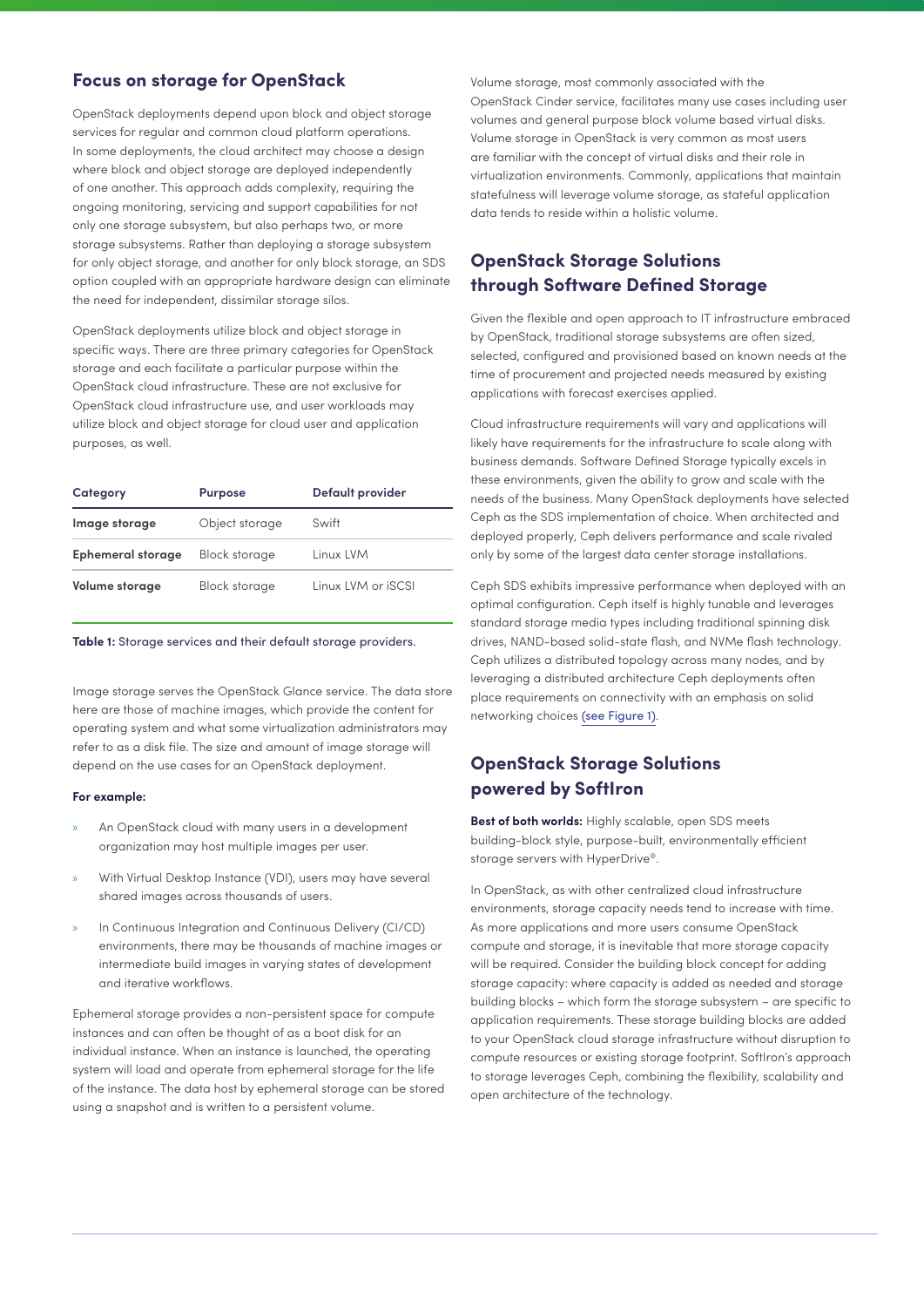#### **Focus on storage for OpenStack**

OpenStack deployments depend upon block and object storage services for regular and common cloud platform operations. In some deployments, the cloud architect may choose a design where block and object storage are deployed independently of one another. This approach adds complexity, requiring the ongoing monitoring, servicing and support capabilities for not only one storage subsystem, but also perhaps two, or more storage subsystems. Rather than deploying a storage subsystem for only object storage, and another for only block storage, an SDS option coupled with an appropriate hardware design can eliminate the need for independent, dissimilar storage silos.

OpenStack deployments utilize block and object storage in specific ways. There are three primary categories for OpenStack storage and each facilitate a particular purpose within the OpenStack cloud infrastructure. These are not exclusive for OpenStack cloud infrastructure use, and user workloads may utilize block and object storage for cloud user and application purposes, as well.

| Category                 | <b>Purpose</b>       | Default provider   |
|--------------------------|----------------------|--------------------|
| Image storage            | Object storage       | Swift              |
| <b>Ephemeral storage</b> | <b>Block storage</b> | Linux LVM          |
| Volume storage           | <b>Block storage</b> | Linux LVM or iSCSI |

#### **Table 1:** Storage services and their default storage providers.

Image storage serves the OpenStack Glance service. The data store here are those of machine images, which provide the content for operating system and what some virtualization administrators may refer to as a disk file. The size and amount of image storage will depend on the use cases for an OpenStack deployment.

#### **For example:**

- » An OpenStack cloud with many users in a development organization may host multiple images per user.
- » With Virtual Desktop Instance (VDI), users may have several shared images across thousands of users.
- In Continuous Integration and Continuous Delivery (CI/CD) environments, there may be thousands of machine images or intermediate build images in varying states of development and iterative workflows.

Ephemeral storage provides a non-persistent space for compute instances and can often be thought of as a boot disk for an individual instance. When an instance is launched, the operating system will load and operate from ephemeral storage for the life of the instance. The data host by ephemeral storage can be stored using a snapshot and is written to a persistent volume.

Volume storage, most commonly associated with the OpenStack Cinder service, facilitates many use cases including user volumes and general purpose block volume based virtual disks. Volume storage in OpenStack is very common as most users are familiar with the concept of virtual disks and their role in virtualization environments. Commonly, applications that maintain statefulness will leverage volume storage, as stateful application data tends to reside within a holistic volume.

### **OpenStack Storage Solutions through Software Defined Storage**

Given the flexible and open approach to IT infrastructure embraced by OpenStack, traditional storage subsystems are often sized, selected, configured and provisioned based on known needs at the time of procurement and projected needs measured by existing applications with forecast exercises applied.

Cloud infrastructure requirements will vary and applications will likely have requirements for the infrastructure to scale along with business demands. Software Defined Storage typically excels in these environments, given the ability to grow and scale with the needs of the business. Many OpenStack deployments have selected Ceph as the SDS implementation of choice. When architected and deployed properly, Ceph delivers performance and scale rivaled only by some of the largest data center storage installations.

Ceph SDS exhibits impressive performance when deployed with an optimal configuration. Ceph itself is highly tunable and leverages standard storage media types including traditional spinning disk drives, NAND-based solid-state flash, and NVMe flash technology. Ceph utilizes a distributed topology across many nodes, and by leveraging a distributed architecture Ceph deployments often place requirements on connectivity with an emphasis on solid networking choices [\(see Figure 1\)](#page-2-0).

#### **OpenStack Storage Solutions powered by SoftIron**

**Best of both worlds:** Highly scalable, open SDS meets building-block style, purpose-built, environmentally efficient storage servers with HyperDrive®.

In OpenStack, as with other centralized cloud infrastructure environments, storage capacity needs tend to increase with time. As more applications and more users consume OpenStack compute and storage, it is inevitable that more storage capacity will be required. Consider the building block concept for adding storage capacity: where capacity is added as needed and storage building blocks – which form the storage subsystem – are specific to application requirements. These storage building blocks are added to your OpenStack cloud storage infrastructure without disruption to compute resources or existing storage footprint. SoftIron's approach to storage leverages Ceph, combining the flexibility, scalability and open architecture of the technology.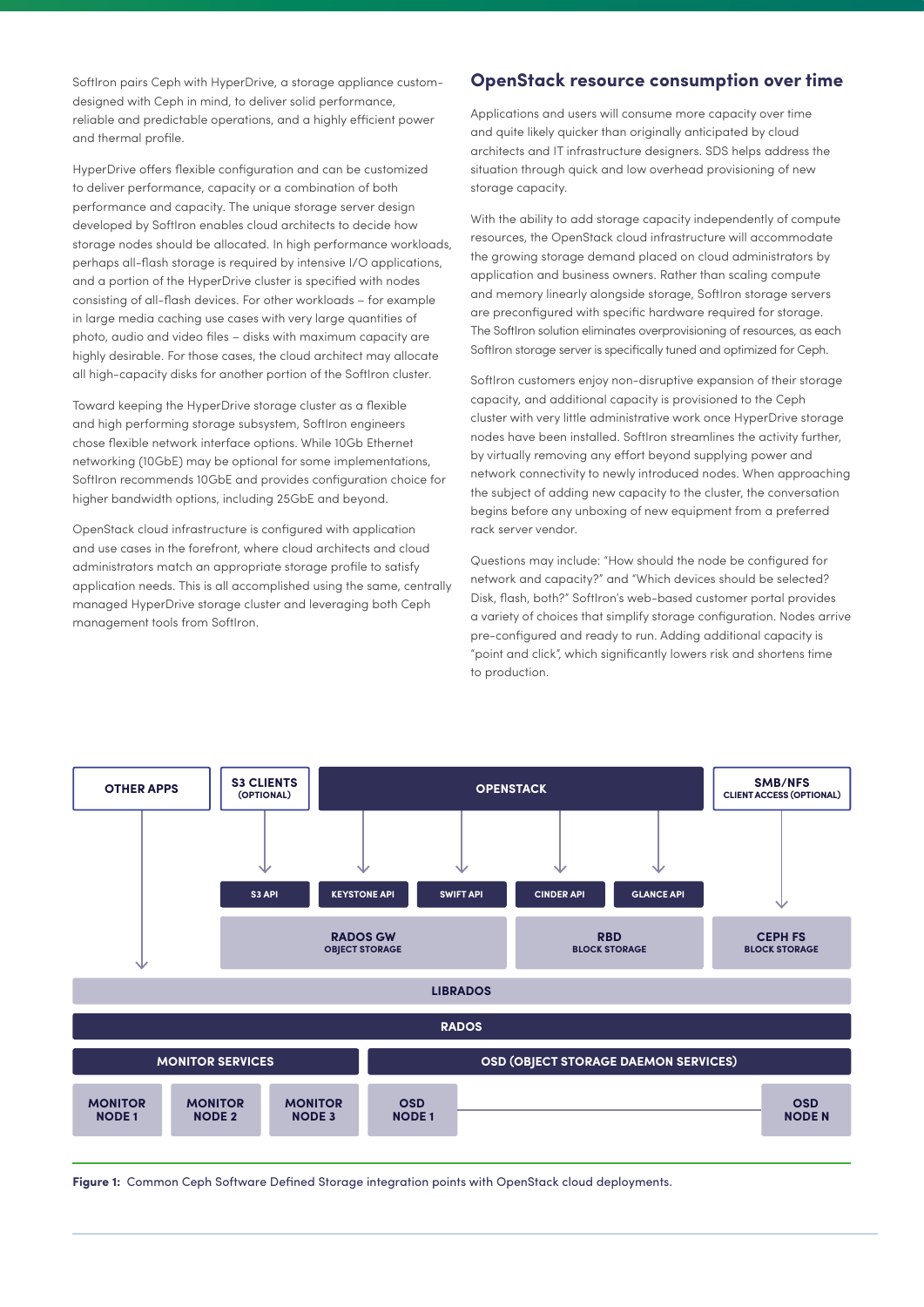SoftIron pairs Ceph with HyperDrive, a storage appliance customdesigned with Ceph in mind, to deliver solid performance, reliable and predictable operations, and a highly efficient power and thermal profile.

HyperDrive offers flexible configuration and can be customized to deliver performance, capacity or a combination of both performance and capacity. The unique storage server design developed by SoftIron enables cloud architects to decide how storage nodes should be allocated. In high performance workloads, perhaps all-flash storage is required by intensive I/O applications, and a portion of the HyperDrive cluster is specified with nodes consisting of all-flash devices. For other workloads – for example in large media caching use cases with very large quantities of photo, audio and video files – disks with maximum capacity are highly desirable. For those cases, the cloud architect may allocate all high-capacity disks for another portion of the SoftIron cluster.

Toward keeping the HyperDrive storage cluster as a flexible and high performing storage subsystem, SoftIron engineers chose flexible network interface options. While 10Gb Ethernet networking (10GbE) may be optional for some implementations, SoftIron recommends 10GbE and provides configuration choice for higher bandwidth options, including 25GbE and beyond.

OpenStack cloud infrastructure is configured with application and use cases in the forefront, where cloud architects and cloud administrators match an appropriate storage profile to satisfy application needs. This is all accomplished using the same, centrally managed HyperDrive storage cluster and leveraging both Ceph management tools from SoftIron.

#### **OpenStack resource consumption over time**

Applications and users will consume more capacity over time and quite likely quicker than originally anticipated by cloud architects and IT infrastructure designers. SDS helps address the situation through quick and low overhead provisioning of new storage capacity.

With the ability to add storage capacity independently of compute resources, the OpenStack cloud infrastructure will accommodate the growing storage demand placed on cloud administrators by application and business owners. Rather than scaling compute and memory linearly alongside storage, SoftIron storage servers are preconfigured with specific hardware required for storage. The SoftIron solution eliminates overprovisioning of resources, as each SoftIron storage server is specifically tuned and optimized for Ceph.

SoftIron customers enjoy non-disruptive expansion of their storage capacity, and additional capacity is provisioned to the Ceph cluster with very little administrative work once HyperDrive storage nodes have been installed. SoftIron streamlines the activity further, by virtually removing any effort beyond supplying power and network connectivity to newly introduced nodes. When approaching the subject of adding new capacity to the cluster, the conversation begins before any unboxing of new equipment from a preferred rack server vendor.

Questions may include: "How should the node be configured for network and capacity?" and "Which devices should be selected? Disk, flash, both?" SoftIron's web-based customer portal provides a variety of choices that simplify storage configuration. Nodes arrive pre-configured and ready to run. Adding additional capacity is "point and click", which significantly lowers risk and shortens time to production.



<span id="page-2-0"></span>**Figure 1:** Common Ceph Software Defined Storage integration points with OpenStack cloud deployments.